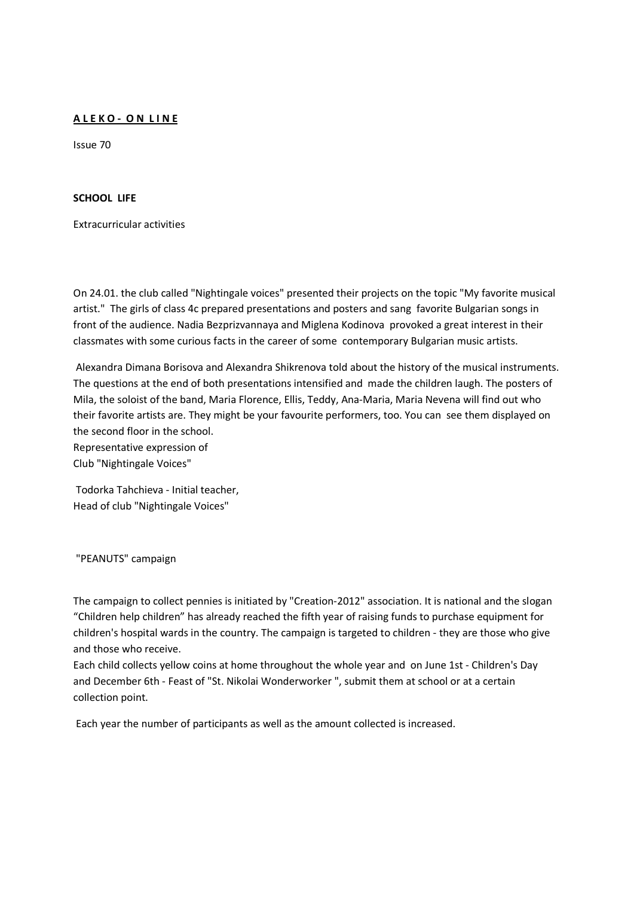# **A L E K O - O N L I N E**

Issue 70

## **SCHOOL LIFE**

Extracurricular activities

On 24.01. the club called "Nightingale voices" presented their projects on the topic "My favorite musical artist." The girls of class 4c prepared presentations and posters and sang favorite Bulgarian songs in front of the audience. Nadia Bezprizvannaya and Miglena Kodinova provoked a great interest in their classmates with some curious facts in the career of some contemporary Bulgarian music artists.

 Alexandra Dimana Borisova and Alexandra Shikrenova told about the history of the musical instruments. The questions at the end of both presentations intensified and made the children laugh. The posters of Mila, the soloist of the band, Maria Florence, Ellis, Teddy, Ana-Maria, Maria Nevena will find out who their favorite artists are. They might be your favourite performers, too. You can see them displayed on the second floor in the school. Representative expression of

Club "Nightingale Voices"

 Todorka Tahchieva - Initial teacher, Head of club "Nightingale Voices"

"PEANUTS" campaign

The campaign to collect pennies is initiated by "Creation-2012" association. It is national and the slogan "Children help children" has already reached the fifth year of raising funds to purchase equipment for children's hospital wards in the country. The campaign is targeted to children - they are those who give and those who receive.

Each child collects yellow coins at home throughout the whole year and on June 1st - Children's Day and December 6th - Feast of "St. Nikolai Wonderworker ", submit them at school or at a certain collection point.

Each year the number of participants as well as the amount collected is increased.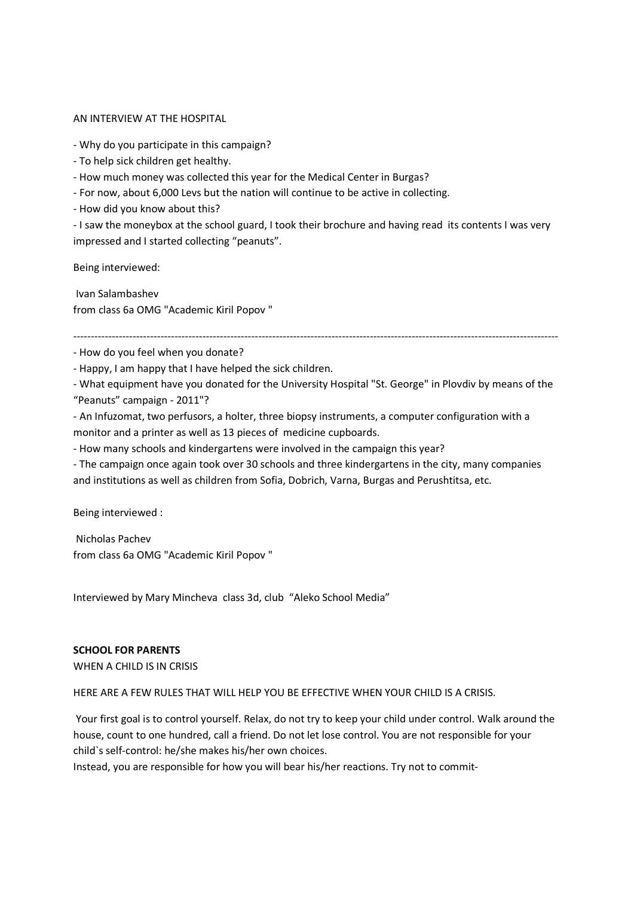#### AN INTERVIEW AT THE HOSPITAL

- Why do you participate in this campaign?

- To help sick children get healthy.
- How much money was collected this year for the Medical Center in Burgas?
- For now, about 6,000 Levs but the nation will continue to be active in collecting.
- How did you know about this?

- I saw the moneybox at the school guard, I took their brochure and having read its contents I was very impressed and I started collecting "peanuts".

Being interviewed:

 Ivan Salambashev from class 6a OMG "Academic Kiril Popov "

-------------------------------------------------------------------------------------------------------------------------------------------

- How do you feel when you donate?

- Happy, I am happy that I have helped the sick children.

- What equipment have you donated for the University Hospital "St. George" in Plovdiv by means of the "Peanuts" campaign - 2011"?

- An Infuzomat, two perfusors, a holter, three biopsy instruments, a computer configuration with a monitor and a printer as well as 13 pieces of medicine cupboards.

- How many schools and kindergartens were involved in the campaign this year?

- The campaign once again took over 30 schools and three kindergartens in the city, many companies and institutions as well as children from Sofia, Dobrich, Varna, Burgas and Perushtitsa, etc.

Being interviewed :

 Nicholas Pachev from class 6a OMG "Academic Kiril Popov "

Interviewed by Mary Mincheva class 3d, club "Aleko School Media"

# **SCHOOL FOR PARENTS**

WHEN A CHILD IS IN CRISIS

HERE ARE A FEW RULES THAT WILL HELP YOU BE EFFECTIVE WHEN YOUR CHILD IS A CRISIS.

 Your first goal is to control yourself. Relax, do not try to keep your child under control. Walk around the house, count to one hundred, call a friend. Do not let lose control. You are not responsible for your child`s self-control: he/she makes his/her own choices.

Instead, you are responsible for how you will bear his/her reactions. Try not to commit-